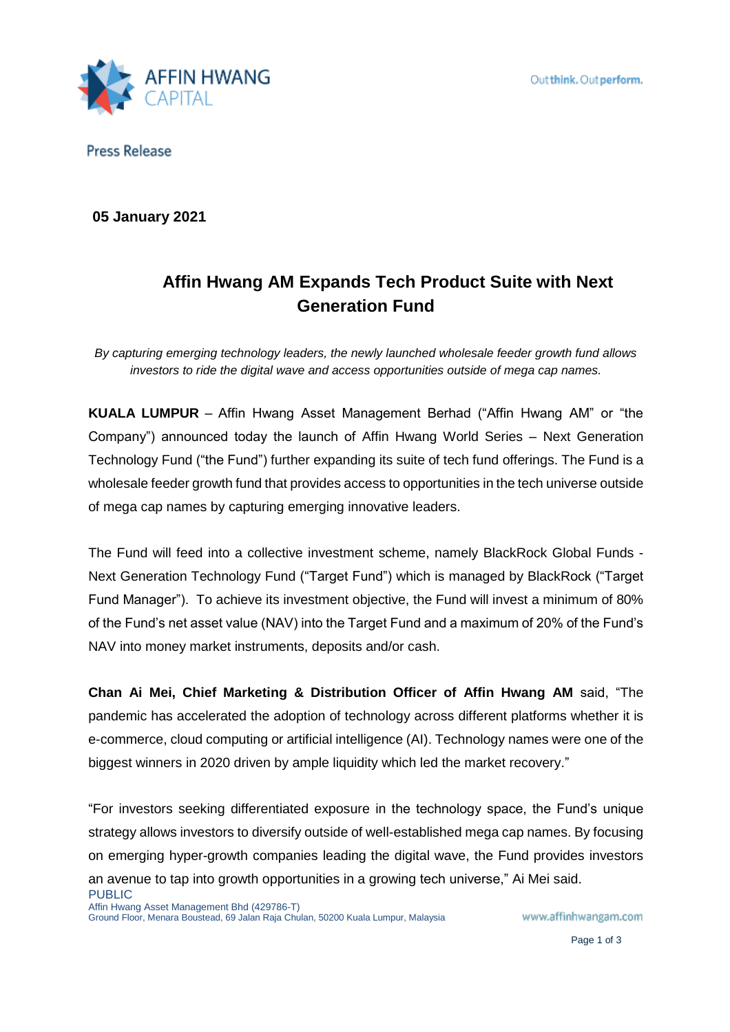

**Press Release** 

**05 January 2021**

# **Affin Hwang AM Expands Tech Product Suite with Next Generation Fund**

*By capturing emerging technology leaders, the newly launched wholesale feeder growth fund allows investors to ride the digital wave and access opportunities outside of mega cap names.* 

**KUALA LUMPUR** – Affin Hwang Asset Management Berhad ("Affin Hwang AM" or "the Company") announced today the launch of Affin Hwang World Series – Next Generation Technology Fund ("the Fund") further expanding its suite of tech fund offerings. The Fund is a wholesale feeder growth fund that provides access to opportunities in the tech universe outside of mega cap names by capturing emerging innovative leaders.

The Fund will feed into a collective investment scheme, namely BlackRock Global Funds - Next Generation Technology Fund ("Target Fund") which is managed by BlackRock ("Target Fund Manager"). To achieve its investment objective, the Fund will invest a minimum of 80% of the Fund's net asset value (NAV) into the Target Fund and a maximum of 20% of the Fund's NAV into money market instruments, deposits and/or cash.

**Chan Ai Mei, Chief Marketing & Distribution Officer of Affin Hwang AM** said, "The pandemic has accelerated the adoption of technology across different platforms whether it is e-commerce, cloud computing or artificial intelligence (AI). Technology names were one of the biggest winners in 2020 driven by ample liquidity which led the market recovery."

PUBLIC "For investors seeking differentiated exposure in the technology space, the Fund's unique strategy allows investors to diversify outside of well-established mega cap names. By focusing on emerging hyper-growth companies leading the digital wave, the Fund provides investors an avenue to tap into growth opportunities in a growing tech universe," Ai Mei said.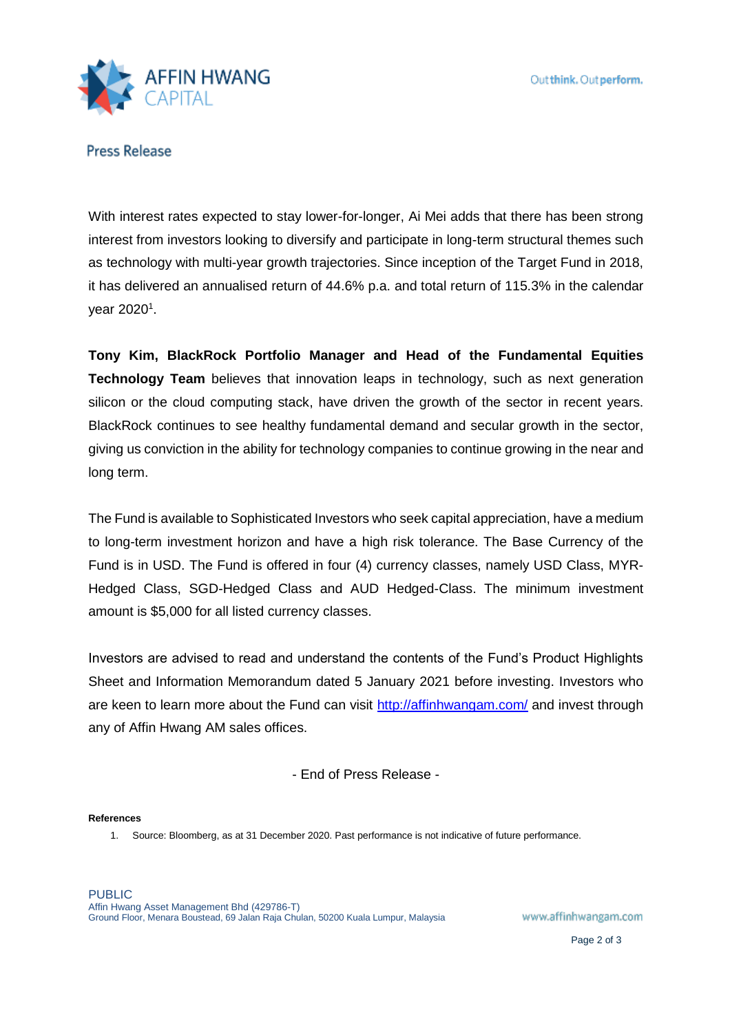

**Press Release** 

With interest rates expected to stay lower-for-longer, Ai Mei adds that there has been strong interest from investors looking to diversify and participate in long-term structural themes such as technology with multi-year growth trajectories. Since inception of the Target Fund in 2018, it has delivered an annualised return of 44.6% p.a. and total return of 115.3% in the calendar year 2020<sup>1</sup>.

**Tony Kim, BlackRock Portfolio Manager and Head of the Fundamental Equities Technology Team** believes that innovation leaps in technology, such as next generation silicon or the cloud computing stack, have driven the growth of the sector in recent years. BlackRock continues to see healthy fundamental demand and secular growth in the sector, giving us conviction in the ability for technology companies to continue growing in the near and long term.

The Fund is available to Sophisticated Investors who seek capital appreciation, have a medium to long-term investment horizon and have a high risk tolerance. The Base Currency of the Fund is in USD. The Fund is offered in four (4) currency classes, namely USD Class, MYR-Hedged Class, SGD-Hedged Class and AUD Hedged-Class. The minimum investment amount is \$5,000 for all listed currency classes.

Investors are advised to read and understand the contents of the Fund's Product Highlights Sheet and Information Memorandum dated 5 January 2021 before investing. Investors who are keen to learn more about the Fund can visit<http://affinhwangam.com/> and invest through any of Affin Hwang AM sales offices.

- End of Press Release -

### **References**

1. Source: Bloomberg, as at 31 December 2020. Past performance is not indicative of future performance.